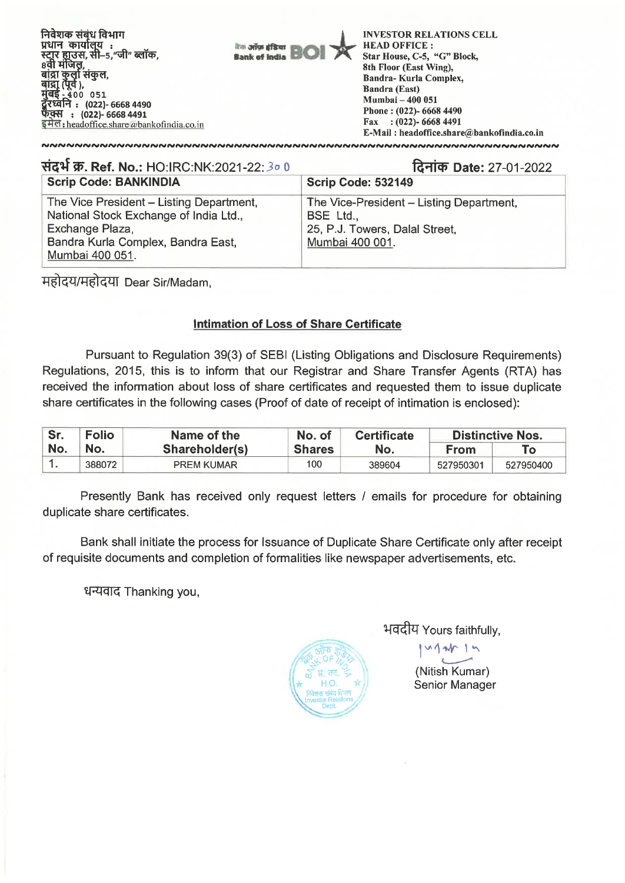

| संदर्भ क्र. Ref. No.: HO:IRC:NK:2021-22: 30 0                                                                                                                  | दिनांक Date: 27-01-2022                                                                                    |
|----------------------------------------------------------------------------------------------------------------------------------------------------------------|------------------------------------------------------------------------------------------------------------|
| <b>Scrip Code: BANKINDIA</b>                                                                                                                                   | <b>Scrip Code: 532149</b>                                                                                  |
| The Vice President - Listing Department,<br>National Stock Exchange of India Ltd.,<br>Exchange Plaza,<br>Bandra Kurla Complex, Bandra East,<br>Mumbai 400 051. | The Vice-President - Listing Department,<br>BSE Ltd.,<br>25, P.J. Towers, Dalal Street,<br>Mumbai 400 001. |

महोदय/महोदया Dear Sir/Madam,

## **Intimation of Loss of Share Certificate**

Pursuant to Regulation 39(3) of SEBI (Listing Obligations and Disclosure Requirements) Regulations, 2015, this is to inform that our Registrar and Share Transfer Agents (RTA) has received the information about loss of share certificates and requested them to issue duplicate share certificates in the following cases (Proof of date of receipt of intimation is enclosed):

| Sr. | Folio  | No. of<br>Name of the<br><b>Certificate</b> |               | <b>Distinctive Nos.</b> |           |           |
|-----|--------|---------------------------------------------|---------------|-------------------------|-----------|-----------|
| No. | No.    | Shareholder(s)                              | <b>Shares</b> | No.                     | From      | Τo        |
|     | 388072 | <b>PREM KUMAR</b>                           | 100           | 389604                  | 527950301 | 527950400 |

Presently Bank has received only request letters / emails for procedure for obtaining duplicate share certificates.

Bank shall initiate the process for Issuance of Duplicate Share Certificate only after receipt of requisite documents and completion of formalities like newspaper advertisements, etc.

धन्यवाद Thanking you,



भवदीय Yours faithfully,

1

(Nitish Kumar) Senior Manager

 $M_{\rm A}$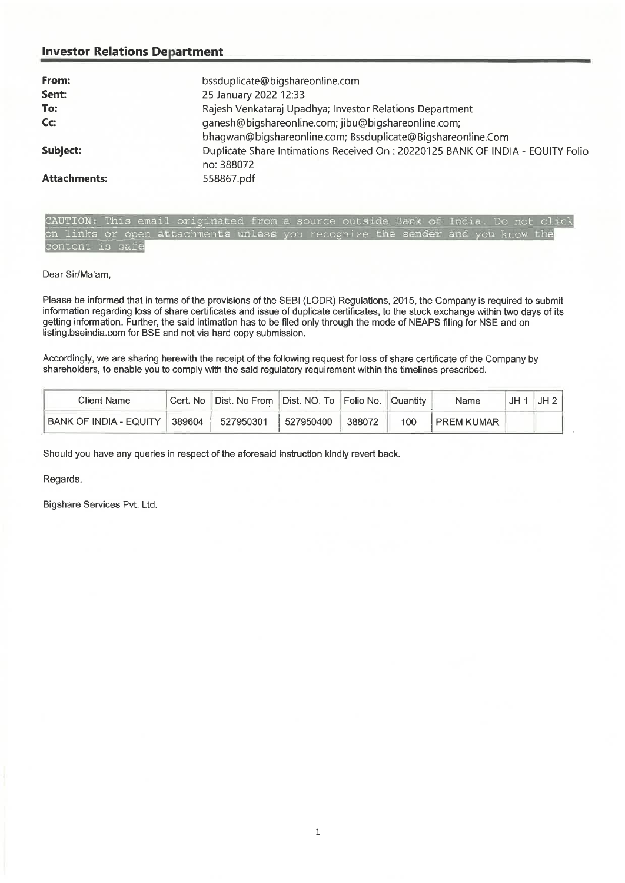## **Investor Relations Department**

| From:               | bssduplicate@bigshareonline.com                                                                                    |
|---------------------|--------------------------------------------------------------------------------------------------------------------|
| Sent:               | 25 January 2022 12:33                                                                                              |
| To:                 | Rajesh Venkataraj Upadhya; Investor Relations Department                                                           |
| $Cc$ :              | ganesh@bigshareonline.com; jibu@bigshareonline.com;<br>bhagwan@bigshareonline.com; Bssduplicate@Bigshareonline.Com |
| Subject:            | Duplicate Share Intimations Received On : 20220125 BANK OF INDIA - EQUITY Folio<br>no: 388072                      |
| <b>Attachments:</b> | 558867.pdf                                                                                                         |

CAUTION: This email originated from a source outside Bank of India. Do not click on links or open attachments unless you recognize the sender and you know the content is safe

## Dear Sir/Ma'am,

Please be informed that in terms of the provisions of the SEBI (LODR) Regulations, 2015, the Company is required to submit information regarding loss of share certificates and issue of duplicate certificates, to the stock exchange within two days of its getting information. Further, the said intimation has to be filed only through the mode of NEAPS filing for NSE and on listing.bseindia.com for BSE and not via hard copy submission.

Accordingly, we are sharing herewith the receipt of the following request for loss of share certificate of the Company by shareholders, to enable you to comply with the said regulatory requirement within the timelines prescribed.

| Client Name            | Cert. No I | Dist. No From Dist. NO. To Folio No. Quantity |           |        |     | Name              | JH 1 | JH2 |
|------------------------|------------|-----------------------------------------------|-----------|--------|-----|-------------------|------|-----|
| BANK OF INDIA - EQUITY | 389604     | 527950301                                     | 527950400 | 388072 | 100 | <b>PREM KUMAR</b> |      |     |

Should you have any queries in respect of the aforesaid instruction kindly revert back.

Regards,

Bigshare Services Pvt. Ltd.